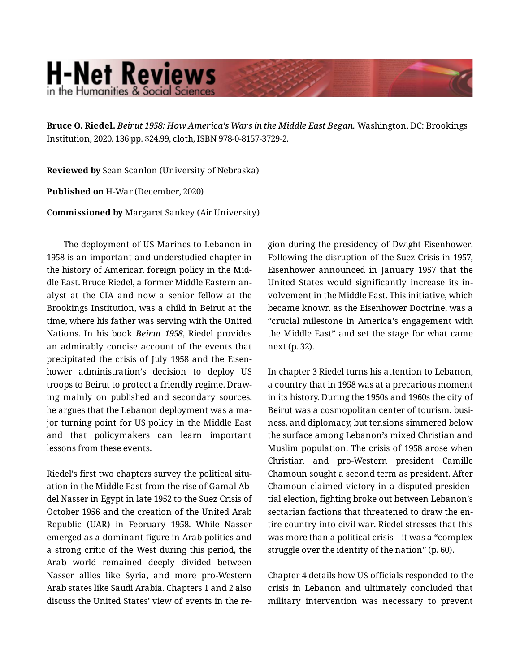## **H-Net Reviews** in the Humanities & Social Scienc

**Bruce O. Riedel.** *Beirut 1958: How America's Wars in the Middle East Began.* Washington, DC: Brookings Institution, 2020. 136 pp. \$24.99, cloth, ISBN 978-0-8157-3729-2.

**Reviewed by** Sean Scanlon (University of Nebraska)

**Published on** H-War (December, 2020)

**Commissioned by** Margaret Sankey (Air University)

The deployment of US Marines to Lebanon in 1958 is an important and understudied chapter in the history of American foreign policy in the Mid‐ dle East. Bruce Riedel, a former Middle Eastern an‐ alyst at the CIA and now a senior fellow at the Brookings Institution, was a child in Beirut at the time, where his father was serving with the United Nations. In his book *Beirut 1958*, Riedel provides an admirably concise account of the events that precipitated the crisis of July 1958 and the Eisen‐ hower administration's decision to deploy US troops to Beirut to protect a friendly regime. Draw‐ ing mainly on published and secondary sources, he argues that the Lebanon deployment was a ma‐ jor turning point for US policy in the Middle East and that policymakers can learn important lessons from these events.

Riedel's first two chapters survey the political situ‐ ation in the Middle East from the rise of Gamal Ab‐ del Nasser in Egypt in late 1952 to the Suez Crisis of October 1956 and the creation of the United Arab Republic (UAR) in February 1958. While Nasser emerged as a dominant figure in Arab politics and a strong critic of the West during this period, the Arab world remained deeply divided between Nasser allies like Syria, and more pro-Western Arab states like Saudi Arabia. Chapters 1 and 2 also discuss the United States' view of events in the re‐

gion during the presidency of Dwight Eisenhower. Following the disruption of the Suez Crisis in 1957, Eisenhower announced in January 1957 that the United States would significantly increase its in‐ volvement in the Middle East. This initiative, which became known as the Eisenhower Doctrine, was a "crucial milestone in America's engagement with the Middle East" and set the stage for what came next (p. 32).

In chapter 3 Riedel turns his attention to Lebanon, a country that in 1958 was at a precarious moment in its history. During the 1950s and 1960s the city of Beirut was a cosmopolitan center of tourism, busi‐ ness, and diplomacy, but tensions simmered below the surface among Lebanon's mixed Christian and Muslim population. The crisis of 1958 arose when Christian and pro-Western president Camille Chamoun sought a second term as president. After Chamoun claimed victory in a disputed presiden‐ tial election, fighting broke out between Lebanon's sectarian factions that threatened to draw the en‐ tire country into civil war. Riedel stresses that this was more than a political crisis—it was a "complex struggle over the identity of the nation" (p. 60).

Chapter 4 details how US officials responded to the crisis in Lebanon and ultimately concluded that military intervention was necessary to prevent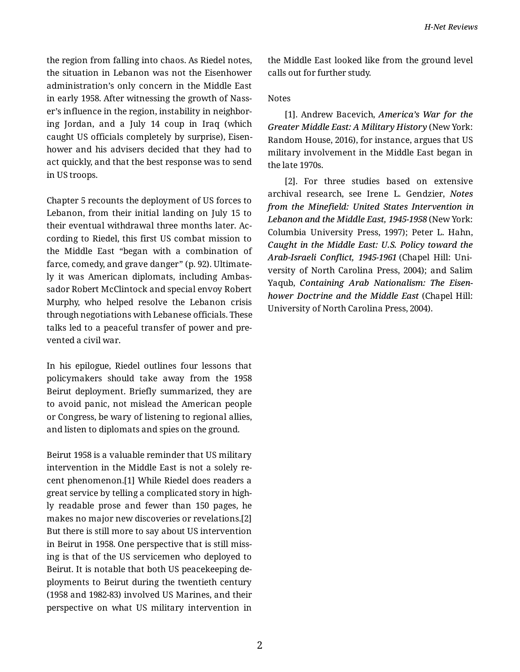the region from falling into chaos. As Riedel notes, the situation in Lebanon was not the Eisenhower administration's only concern in the Middle East in early 1958. After witnessing the growth of Nasser's influence in the region, instability in neighbor‐ ing Jordan, and a July 14 coup in Iraq (which caught US officials completely by surprise), Eisen‐ hower and his advisers decided that they had to act quickly, and that the best response was to send in US troops.

Chapter 5 recounts the deployment of US forces to Lebanon, from their initial landing on July 15 to their eventual withdrawal three months later. Ac‐ cording to Riedel, this first US combat mission to the Middle East "began with a combination of farce, comedy, and grave danger" (p. 92). Ultimate‐ ly it was American diplomats, including Ambas‐ sador Robert McClintock and special envoy Robert Murphy, who helped resolve the Lebanon crisis through negotiations with Lebanese officials. These talks led to a peaceful transfer of power and pre‐ vented a civil war.

In his epilogue, Riedel outlines four lessons that policymakers should take away from the 1958 Beirut deployment. Briefly summarized, they are to avoid panic, not mislead the American people or Congress, be wary of listening to regional allies, and listen to diplomats and spies on the ground.

Beirut 1958 is a valuable reminder that US military intervention in the Middle East is not a solely re‐ cent phenomenon.[1] While Riedel does readers a great service by telling a complicated story in high‐ ly readable prose and fewer than 150 pages, he makes no major new discoveries or revelations.[2] But there is still more to say about US intervention in Beirut in 1958. One perspective that is still miss‐ ing is that of the US servicemen who deployed to Beirut. It is notable that both US peacekeeping de‐ ployments to Beirut during the twentieth century (1958 and 1982-83) involved US Marines, and their perspective on what US military intervention in the Middle East looked like from the ground level calls out for further study.

## Notes

[1]. Andrew Bacevich, *America's War for the Greater Middle East: A Military History* (New York: Random House, 2016), for instance, argues that US military involvement in the Middle East began in the late 1970s.

[2]. For three studies based on extensive archival research, see Irene L. Gendzier, *Notes from the Minefield: United States Intervention in Lebanon and the Middle East, 1945-1958* (New York: Columbia University Press, 1997); Peter L. Hahn, *Caught in the Middle East: U.S. Policy toward the Arab-Israeli Conflict, 1945-1961* (Chapel Hill: Uni‐ versity of North Carolina Press, 2004); and Salim Yaqub, *Containing Arab Nationalism: The Eisen‐ hower Doctrine and the Middle East* (Chapel Hill: University of North Carolina Press, 2004).